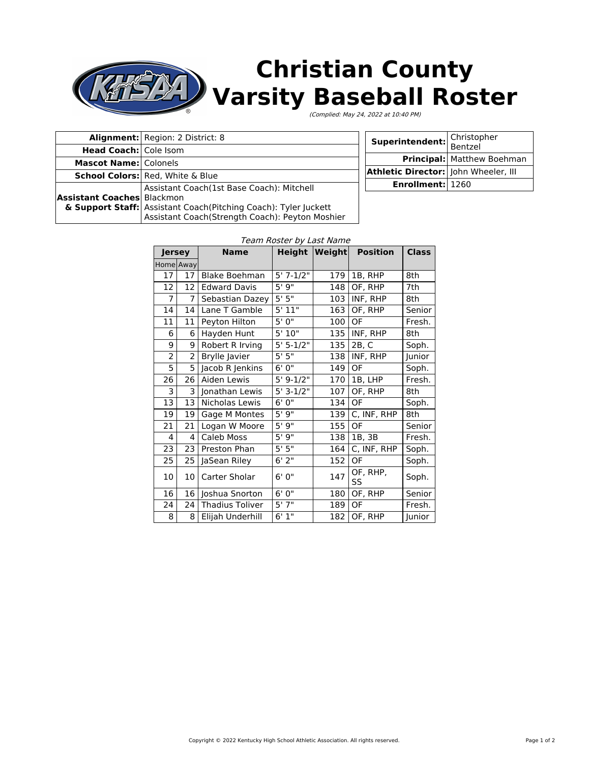## **Christian County**  $\frac{1}{2}$ **Varsity Baseball Roster**

(Complied: May 24, 2022 at 10:40 PM)

|                                   | <b>Alignment:</b> Region: 2 District: 8                         |  | Superintendent:                      | I Christopher                     |
|-----------------------------------|-----------------------------------------------------------------|--|--------------------------------------|-----------------------------------|
| <b>Head Coach:</b> Cole Isom      |                                                                 |  |                                      | <b>Bentzel</b>                    |
| <b>Mascot Name: Colonels</b>      |                                                                 |  |                                      | <b>Principal:</b> Matthew Boehman |
|                                   | <b>School Colors:</b> Red, White & Blue                         |  | Athletic Director: John Wheeler, III |                                   |
|                                   |                                                                 |  |                                      |                                   |
|                                   | Assistant Coach(1st Base Coach): Mitchell                       |  | <b>Enrollment: 1260</b>              |                                   |
| <b>Assistant Coaches</b> Blackmon |                                                                 |  |                                      |                                   |
|                                   | & Support Staff: Assistant Coach(Pitching Coach): Tyler Juckett |  |                                      |                                   |
|                                   | Assistant Coach(Strength Coach): Peyton Moshier                 |  |                                      |                                   |

| Jersey         |                | <b>Name</b>            | <b>Height</b>         | Weight | <b>Position</b> | <b>Class</b> |
|----------------|----------------|------------------------|-----------------------|--------|-----------------|--------------|
| Home Away      |                |                        |                       |        |                 |              |
| 17             | 17             | <b>Blake Boehman</b>   | $5'$ 7-1/2"           | 179    | 1B, RHP         | 8th          |
| 12             | 12             | <b>Edward Davis</b>    | 5' 9"                 | 148    | OF, RHP         | 7th          |
| $\overline{7}$ | $\overline{7}$ | Sebastian Dazey        | $5'$ $\overline{5''}$ | 103    | INF, RHP        | 8th          |
| 14             | 14             | Lane T Gamble          | 5'11"                 | 163    | OF, RHP         | Senior       |
| 11             | 11             | Peyton Hilton          | $5'$ $0''$            | 100    | <b>OF</b>       | Fresh.       |
| 6              | 6              | Hayden Hunt            | 5'10"                 | 135    | INF, RHP        | 8th          |
| 9              | 9              | Robert R Irving        | $5' 5-1/2"$           | 135    | 2B, C           | Soph.        |
| 2              | $\overline{2}$ | <b>Brylle Javier</b>   | 5'5''                 | 138    | INF, RHP        | Junior       |
| 5              | 5              | Jacob R Jenkins        | 6'0''                 | 149    | OF              | Soph.        |
| 26             | 26             | Aiden Lewis            | $5'$ 9-1/2"           | 170    | 1B, LHP         | Fresh.       |
| 3              | 3              | Jonathan Lewis         | $5' 3-1/2"$           | 107    | OF, RHP         | 8th          |
| 13             | 13             | Nicholas Lewis         | $6'$ $\overline{0''}$ | 134    | OF              | Soph.        |
| 19             | 19             | Gage M Montes          | 5'9''                 | 139    | C, INF, RHP     | 8th          |
| 21             | 21             | Logan W Moore          | 5'9''                 | 155    | <b>OF</b>       | Senior       |
| 4              | 4              | Caleb Moss             | 5'9''                 | 138    | 1B, 3B          | Fresh.       |
| 23             | 23             | Preston Phan           | 5'5''                 | 164    | C, INF, RHP     | Soph.        |
| 25             | 25             | JaSean Riley           | 6'2"                  | 152    | OF              | Soph.        |
| 10             | 10             | Carter Sholar          | 6'0''                 | 147    | OF, RHP,<br>SS  | Soph.        |
| 16             |                | 16 Joshua Snorton      | 6'0''                 | 180    | OF, RHP         | Senior       |
| 24             | 24             | <b>Thadius Toliver</b> | 5'7''                 | 189    | OF              | Fresh.       |
| 8              | 8 I            | Elijah Underhill       | 6'1''                 | 182    | OF, RHP         | Junior       |